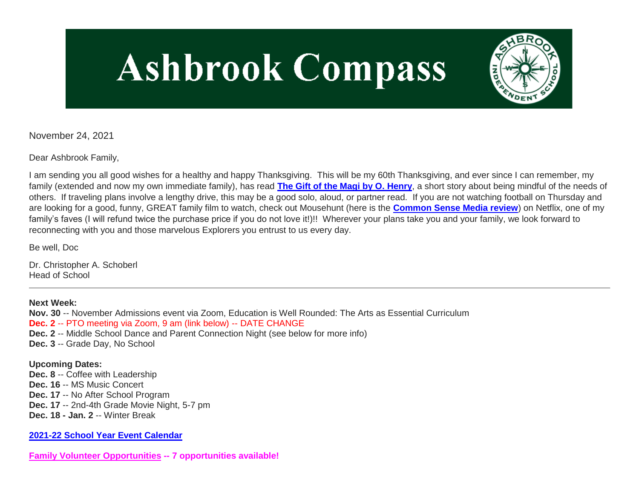# **Ashbrook Compass**



November 24, 2021

Dear Ashbrook Family,

I am sending you all good wishes for a healthy and happy Thanksgiving. This will be my 60th Thanksgiving, and ever since I can remember, my family (extended and now my own immediate family), has read **[The Gift of the Magi by O. Henry](http://link.mystudentsprogress.com/ls/click?upn=flJ18ETPhCbNgmfSZO-2Fam0gtFkNVyRXzPrcbpUbHGORTQIzPaELRdxjouPgd5yZMx5ajRxz14lc0cbcxy5xAJK56iZOyQtGNDIU1-2B3D-2B-2F5HmpzNmJKgGgRgghWiOlWvr70xk_1PndbFfBoQGSZbxwXHHEexw3B2F0fG-2BUmuXm6a-2BX-2BzvdPZ0qaSOpXP7mVLiRkEYptFSkwzBDsjY9ApL1tjY-2FnjgA2x30z6KVw86oa-2FdhKBj716Xhb9MBc8CibqrbQMPuN16XH-2F4wR64a7mAamtqZg717jLvns1bzgUTh-2Bswegva-2FzBouQdOoWUxfMqUC9yCByElPvFE2jN7NmjjqoboarUTiL386OxNNVjCs2xx49FrcqZOuyX1nWEMKsyfQvOpz-2FZ9WrUR3Aa-2Bl5b4Od-2FDD6HE7NWt8vIfwWpL2WGesbGkkEBW43P-2Fo4nnq0JC-2BZyUYufVFVd0gfz3rpA77U7cf10wVs1CPsQDL6zmSLimoDC8T3dyg04zDaIOsD-2Fct9HaNaNjeEFQ0VAxHVokZAJCY-2FsU5hyYOe-2B8UHeK-2BV4GDyvS-2FOX-2FSQ1yQd51pNcOORcxE)**, a short story about being mindful of the needs of others. If traveling plans involve a lengthy drive, this may be a good solo, aloud, or partner read. If you are not watching football on Thursday and are looking for a good, funny, GREAT family film to watch, check out Mousehunt (here is the **[Common Sense Media review](http://link.mystudentsprogress.com/ls/click?upn=5XDbAd9r0ovG7GZusFBG8MnIG4gYJZ7k3h1CYUFI7CrPmWYWcVGWnR55VESv1vfZD3L4p-2F9TuBtzVw4gbuvs9dQX86faTfhccYLSJUuaNbI-3D3xRK_1PndbFfBoQGSZbxwXHHEexw3B2F0fG-2BUmuXm6a-2BX-2BzvdPZ0qaSOpXP7mVLiRkEYptFSkwzBDsjY9ApL1tjY-2Fnj7llkrHYf17yctYndjhcdRwtuj84bGQyO-2Beub-2Fi8-2BfkjJ-2Fm8url5UUgoBUZZjTB1QavigqChijEi7O9RLNnaG1Aw-2FJkk1-2BgoCPsKsLmAVmsi3sPPzK-2B-2FlZ7NKeBS20sfwTzZQY5mrSvi5zh15KNMSiTnnRmGNiw2SIQh-2Bn-2FrOdy-2BO0KChl7ptachyjqBLnJnJcqLe6wDqDGoXDCJH7BKuX7iLp6R-2FFyDU562-2F1Llocp5J5qYyAft-2FWcxFmA24UFedVPA7ji6-2BUXG0EbauT3zlSnxEunEq-2FbnXLEdJX9VzgYqrSETjzDFDs3VaBXH-2F-2BRtFWID3QGlkQmYCEKV5mspsKUQm1bOVpxCJzjZEGkCC-2Fm)**) on Netflix, one of my family's faves (I will refund twice the purchase price if you do not love it!)!! Wherever your plans take you and your family, we look forward to reconnecting with you and those marvelous Explorers you entrust to us every day.

Be well, Doc

Dr. Christopher A. Schoberl Head of School

**Next Week: Nov. 30** -- November Admissions event via Zoom, Education is Well Rounded: The Arts as Essential Curriculum **Dec. 2** -- PTO meeting via Zoom, 9 am (link below) -- DATE CHANGE **Dec. 2** -- Middle School Dance and Parent Connection Night (see below for more info) **Dec. 3** -- Grade Day, No School **Upcoming Dates:**

**Dec. 8** -- Coffee with Leadership **Dec. 16** -- MS Music Concert **Dec. 17** -- No After School Program **Dec. 17** -- 2nd-4th Grade Movie Night, 5-7 pm **Dec. 18 - Jan. 2** -- Winter Break

**[2021-22 School Year Event Calendar](http://link.mystudentsprogress.com/ls/click?upn=n7jYKe39nC4PrVAw2BzaOolgU5XUleaJ61qfvNJxTW3uoi8RFzNYUfSc1qXdqajA34djZWrxIBJBxzp2whbybvqIYp3dDOkCDgKesziBdCm1u7J5UB6bwQicng-2BhFj8jm5vDG0tBEB0sO-2FO3RXilW8Csk5oOSfGUUXvh5WSdqhvDojIY5znyF-2BOYIJP1WK6Be3EZ_1PndbFfBoQGSZbxwXHHEexw3B2F0fG-2BUmuXm6a-2BX-2BzvdPZ0qaSOpXP7mVLiRkEYptFSkwzBDsjY9ApL1tjY-2FnnDJQt7ouBTCI0rWh9mFwlvryukq6MaHZdL09oW-2FUq-2BRhV1XAunBpup-2Fn37IB-2FBzzS11nsc2hy2UleEwtVmISc-2FzLnWOXbbmJmm56uxvdeL0kykE8pnEi4-2BF0HCgCSejJd5epxJ8CVwWek0C6zsFzI4N04pfS6OcHdYLjs569rrCwnTLsi4zPfWJUnSg2-2BAueeQpVQ-2Bz9oQ9WTX4WXy8J6-2B8HpMf7-2FWUprh-2FmbSSnmNLoMc9vmAwsm1mrawSAnAOOw3yo5JjixJ5yPVu4aMmbEyw2kEXgAumKyMocE092-2BgFGBXV59al3I1PpUT4-2Bbf0E50NbE7XITN52oizCubRSYy1j5jp1b3KZXnUbXz44vNi)**

**[Family Volunteer Opportunities](http://link.mystudentsprogress.com/ls/click?upn=VpBe6Z9t6RkEC4qAoQCerkRqVNRJCi4SE2bZPjoSvlxSlLFpfnUYhuutAutUGnBh84nj-2BJvhJlx1K1dJMDDqBY1qLZ1O0nCcHebienBZj-2BKxsXBin-2FugM50Q-2FqN8cLG3Urd1ZQzGcMWtkFleXRzacA-3D-3DPX1B_1PndbFfBoQGSZbxwXHHEexw3B2F0fG-2BUmuXm6a-2BX-2BzvdPZ0qaSOpXP7mVLiRkEYptFSkwzBDsjY9ApL1tjY-2FnqXChQxZXEmkmQZE7lxPR-2F3mW3QndXSczl4CQAsx24lBrbGhWXN-2FuD6mq4rtvD6gLJ4QtIjXuHKKYA8Or4o5vCFrygPb91RtWwU7QoDo05KWjHevxw6qDPbzFeIResvAdTmrmzxVeiO1uo0MycoMvjzzLSlcv9NghgAmG6qqTaMhQMeP7R-2FqhoYtqZzfMF2Ligiamy-2B-2FEyeGzdDUWC405t7TuhsYfMK8N3MRZICXELtuJM-2FPJRTR-2B-2FHSRTR8LLgibfbQnRZPGlDsLy45ySO2Ix5WVljGiRPk7LcQzO4LEGYaL0KiMajAnLvI9s018Tlqy-2F7CLf8etnijtCuqEGWgS5j4Z18GUma8bAn2EBH2-2B8GG) -- 7 opportunities available!**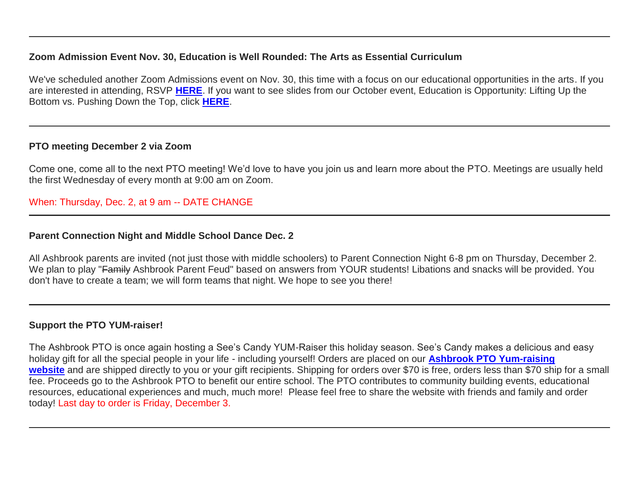## **Zoom Admission Event Nov. 30, Education is Well Rounded: The Arts as Essential Curriculum**

We've scheduled another Zoom Admissions event on Nov. 30, this time with a focus on our educational opportunities in the arts. If you are interested in attending, RSVP **[HERE](http://link.mystudentsprogress.com/ls/click?upn=VpBe6Z9t6RkEC4qAoQCeri-2FFFh7llDqKppeMq4GAyjRWQxckQw26M-2Bv6Io9sYjjzUH9Ef9Y6KUfAPlIq06evE7HZyBbxAv-2F5tGiJlU5s3MYb00QTrSExo0SiZwsPhV-2FOC5cQYOeEDhJbBpFIg-2Bhtmw-3D-3DnTQ3_1PndbFfBoQGSZbxwXHHEexw3B2F0fG-2BUmuXm6a-2BX-2BzvdPZ0qaSOpXP7mVLiRkEYptFSkwzBDsjY9ApL1tjY-2Fnvi9Ny0zRkyzOJ45m2uxaybRPMpUlxoE2nAit4d45q8GiGmKbsLRaAJMrHuOZMBdLJodUw4EqhFfQ19Cb6eCVfCKu3fd4hrVfMXaU3bW7SL9Wy2vjlVwjfeeWMy8-2FPp1Oqs6lmZA6CcTDkIsZebJT47WR73Fj8cxQ3Vhp4ESiDAsxbwJk9g3HZmtypquRfhBq6HuyEs0BBGefr3B25vwPonw-2FSZqlXhFXNpCYRbY0QjPbZXi5KvdWqXMxyKi2doXkYw26bimbF6XfziSmyqSb3BU2ALE4KaB6CPH0WPsaCwpxUL6LZiawp0bkQHiw5Ln0tm490LLRD1L61zyjic7ihfbch3oetT94ZbctTZgHfjo)**. If you want to see slides from our October event, Education is Opportunity: Lifting Up the Bottom vs. Pushing Down the Top, click **[HERE](http://link.mystudentsprogress.com/ls/click?upn=TUHIw15RkZKA-2BkrQie-2FntaQiAIzyVKoAcjBRQlnVZKd-2BHIYHyC6WBSgp4Ve86SHv8a7wE6eUxxK5iqBVRh3xGMrMA-2BU7w5Vy-2BVkaDvO2T3TJR4bDIs7B9OglrEpEP-2BAcWdtbt-2F4Rjzf4-2FKxYgDzPIOJJFPmlP2sBGSa6BAarMI2nxIl9l9CFXhTYr7xBMJMVqA4p3-2FA7d9xTP1aSDbAttlhTBkygNZHNqe-2FWf-2BA-2FFFWag2Igtz3mkvuQ7Bar7i0CUIYxfewqFt-2FBQNg6zKea3JLW-2FDDy9TUsQD4oNxf8FMAb2KdeE3W9Ff1X2oaVcEU95sXpl9U-2BvFSXEiWkaYfdV9GXBkxs3-2FIqbMFhvkED95wDBjjEmXdp9ozIEEJiNbIkjM2zi1VWZ6JZV8FKwIH4ecYOwW4Ewg-2Fyx1gA9Y2OPjeE8DXPcISZydSxYWjA6njOzIDC-2FajoM8fGZy0UVcukbFORVzid-2B-2B4mKM8CsHCEudNbuVFhPDfoa9edsO4-2FS3Ltkk0COfRygt5D3Xvl8j7GgKVu0-2FRxJ-2F2CsuXATd-2BJ41cyDWyR-2FV-2Fu6aW73P2T3pjpYF-2BXGCrpU18xqDYqnMzwnDMsPMIsJX-2B7K3k6PEaB2fDkcDzS3HuMrBc6ZqV8GCh9lPqS5XAvcl-2BUQvnJUeENsElXaF9YhwcjAAK3mrOMA1GBOud4LQBOD-2FJcZMG748mAy3MPaDnQPxFDLIdidlUEsL3dxYPyIX1uiwXCvStZC8sKkOFON-2BFNOfE-2BuIqoRHhPHwQ-2Fi20kfuCnM-2FojkVSu6yYIWfH4jInJ-2F-2FHC-2B22kd3pM4RrLkijeznuH9tpp7-2B-2FmZshWPf-2BVg28S986JBAW6nTxGmo-2Bf3w-2F3YI-2FXknuOzDWgVI-2FsMSTQ-2BkKzcppYfhvIkko8lQeil0tN3qA0vDo7O8JNRT3FpjPhp46quv2lOYTfuWf7n3rgWabFXaMLqTRNyG_Y_1PndbFfBoQGSZbxwXHHEexw3B2F0fG-2BUmuXm6a-2BX-2BzvdPZ0qaSOpXP7mVLiRkEYptFSkwzBDsjY9ApL1tjY-2FnsdA4wOGOh-2Bz527b1yYIG23L4Zq6kWFGjDdR3m5pynYPO8rsDdmoO2BZqWyVT0IIaG7GGMTM97RJKcdtyGmq7yBKuWkdMQ83PM6wZqnCNj-2Btzy6vQUtLWzWCN2z7JI879VvEKz-2FfSusOULKt5KXNKgMDSuHlA9Ba0lYkJqvD1Amg00LSmB8qAWFH7bK4YgRnhMRETVWP6H1Ox7EYfOKE3dlLnzMGkVfwMhyrqqKGJQcklho97uQJmF3H5VQRwUECS0X01r1agSO00-2FICaxwk6UsTmyI5gx0CNjTdIm2QhRlaQYDxG6QY9uvdmt9tqKZ0EPmEj4C-2FpDL9naKZkFjgorWTFToEGvCx5WNBAgWhPMlO)**.

## **PTO meeting December 2 via Zoom**

Come one, come all to the next PTO meeting! We'd love to have you join us and learn more about the PTO. Meetings are usually held the first Wednesday of every month at 9:00 am on Zoom.

# When: Thursday, Dec. 2, at 9 am -- DATE CHANGE

#### **Parent Connection Night and Middle School Dance Dec. 2**

All Ashbrook parents are invited (not just those with middle schoolers) to Parent Connection Night 6-8 pm on Thursday, December 2. We plan to play "Family Ashbrook Parent Feud" based on answers from YOUR students! Libations and snacks will be provided. You don't have to create a team; we will form teams that night. We hope to see you there!

#### **Support the PTO YUM-raiser!**

The Ashbrook PTO is once again hosting a See's Candy YUM-Raiser this holiday season. See's Candy makes a delicious and easy holiday gift for all the special people in your life - including yourself! Orders are placed on our **[Ashbrook PTO Yum-raising](http://link.mystudentsprogress.com/ls/click?upn=5XDbAd9r0ovG7GZusFBG8KtxIYBVgZSf-2B8L3soVnBZB8i1itf4VPEot2aI-2FNCYP3iAJjnZ-2BpS-2Fi2tMjlcoktyJCW9A1Vzn5QKvKSkRaDdChpNdXbTK86NgQ7LWkrdpPqF_Fb_1PndbFfBoQGSZbxwXHHEexw3B2F0fG-2BUmuXm6a-2BX-2BzvdPZ0qaSOpXP7mVLiRkEYptFSkwzBDsjY9ApL1tjY-2FnrMl6je0TEdn2NsoXSI7-2FQ6DuOZWEePqGkz9FK70sNgzF7Wl4T6MrtMVbDKapDD3IRnGuMI7VsC9U0skmLICGa-2FQ8yFuV3bewFDreBjLNWq3Wj-2BqGEYRl7o38RjrzEwfU25wBRWB9gg4E1hjohH4dekxGy31w9dPvdzvIZHW5koFTIupMzm3hgGO9UsvjdmGGOIXBKg0eHJc-2BRKm4-2FvjnhqkPml9QzKcQhnoQSO0r39r2clqT3If5dMV1guj4nX6dJv-2FvOUDKlu5y5AjRXhZ5D8dlMNZtHl-2BWwsU-2BcfPVLrpah6cTM2o9tK8vVGv4Vj0IrQCrfv3kWCCvIOA9-2BI0cihpunj7lNYIfDWPXErXW7la)**  [website](http://link.mystudentsprogress.com/ls/click?upn=5XDbAd9r0ovG7GZusFBG8KtxIYBVgZSf-2B8L3soVnBZB8i1itf4VPEot2aI-2FNCYP3iAJjnZ-2BpS-2Fi2tMjlcoktyJCW9A1Vzn5QKvKSkRaDdChpNdXbTK86NgQ7LWkrdpPqF_Fb_1PndbFfBoQGSZbxwXHHEexw3B2F0fG-2BUmuXm6a-2BX-2BzvdPZ0qaSOpXP7mVLiRkEYptFSkwzBDsjY9ApL1tjY-2FnrMl6je0TEdn2NsoXSI7-2FQ6DuOZWEePqGkz9FK70sNgzF7Wl4T6MrtMVbDKapDD3IRnGuMI7VsC9U0skmLICGa-2FQ8yFuV3bewFDreBjLNWq3Wj-2BqGEYRl7o38RjrzEwfU25wBRWB9gg4E1hjohH4dekxGy31w9dPvdzvIZHW5koFTIupMzm3hgGO9UsvjdmGGOIXBKg0eHJc-2BRKm4-2FvjnhqkPml9QzKcQhnoQSO0r39r2clqT3If5dMV1guj4nX6dJv-2FvOUDKlu5y5AjRXhZ5D8dlMNZtHl-2BWwsU-2BcfPVLrpah6cTM2o9tK8vVGv4Vj0IrQCrfv3kWCCvIOA9-2BI0cihpunj7lNYIfDWPXErXW7la) and are shipped directly to you or your gift recipients. Shipping for orders over \$70 is free, orders less than \$70 ship for a small fee. Proceeds go to the Ashbrook PTO to benefit our entire school. The PTO contributes to community building events, educational resources, educational experiences and much, much more! Please feel free to share the website with friends and family and order today! Last day to order is Friday, December 3.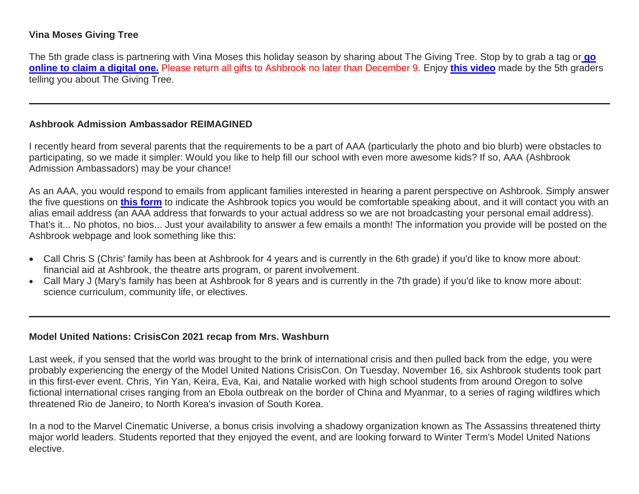# **Vina Moses Giving Tree**

The 5th grade class is partnering with Vina Moses this holiday season by sharing about The Giving Tree. Stop by to grab a tag or **[go](http://link.mystudentsprogress.com/ls/click?upn=5XDbAd9r0ovG7GZusFBG8NWc0cYkD1cu3h4mepZSvfd9OEzTzOLPtdwCkYSMsbPEBUao_1PndbFfBoQGSZbxwXHHEexw3B2F0fG-2BUmuXm6a-2BX-2BzvdPZ0qaSOpXP7mVLiRkEYptFSkwzBDsjY9ApL1tjY-2FnvmXJ5rsQ5-2BqeIWzm5vmJ8z-2FZzDHb6Ml9ebbxcN0cnR5Y3OyAKj4dz2fb4bv9KT5fcb4pZ4rM7KQL6oCASW5NiJWqmN1NZH3LJBt7gVD9JgUICrHr4jpseXgEt0O3yYYzc3FE9TniiIBdU-2B3NvfokQVzHkQU9suVEcwj8Y5JnCmccQ55rdG4BrNzNbxn3N7SF0W6Eon9stC8iijYESPMqxaKzNX0eexOx08KNc-2B3Dy2ClzyERmTqUhyLTK3iXKj9ve3VxPfG70c5k7JLzoWXOW-2FHyS9uBAOUw4TIHyjf0tan9F3K1n-2F6HFHtPf0GfFdNY8i5347RC-2FdVegUiGq-2BWnl4WIXyOmZcXYXK9cBb2A4lB)  [online to claim a digital one.](http://link.mystudentsprogress.com/ls/click?upn=5XDbAd9r0ovG7GZusFBG8NWc0cYkD1cu3h4mepZSvfd9OEzTzOLPtdwCkYSMsbPEBUao_1PndbFfBoQGSZbxwXHHEexw3B2F0fG-2BUmuXm6a-2BX-2BzvdPZ0qaSOpXP7mVLiRkEYptFSkwzBDsjY9ApL1tjY-2FnvmXJ5rsQ5-2BqeIWzm5vmJ8z-2FZzDHb6Ml9ebbxcN0cnR5Y3OyAKj4dz2fb4bv9KT5fcb4pZ4rM7KQL6oCASW5NiJWqmN1NZH3LJBt7gVD9JgUICrHr4jpseXgEt0O3yYYzc3FE9TniiIBdU-2B3NvfokQVzHkQU9suVEcwj8Y5JnCmccQ55rdG4BrNzNbxn3N7SF0W6Eon9stC8iijYESPMqxaKzNX0eexOx08KNc-2B3Dy2ClzyERmTqUhyLTK3iXKj9ve3VxPfG70c5k7JLzoWXOW-2FHyS9uBAOUw4TIHyjf0tan9F3K1n-2F6HFHtPf0GfFdNY8i5347RC-2FdVegUiGq-2BWnl4WIXyOmZcXYXK9cBb2A4lB)** Please return all gifts to Ashbrook no later than December 9. Enjoy **[this video](http://link.mystudentsprogress.com/ls/click?upn=dtxrd7XgLFKMZb8yFsgCgQ8kRf9bX0pGPPFLqbwj1nsJ6Bpc-2FPx32qBDIl19K-2FryFDRv_1PndbFfBoQGSZbxwXHHEexw3B2F0fG-2BUmuXm6a-2BX-2BzvdPZ0qaSOpXP7mVLiRkEYptFSkwzBDsjY9ApL1tjY-2FnlIqQfzAR2c6fMa-2FH9g2zruJyclX2onOgbb4Bb3oHdTDRptnnwuFX5vJ9SlAlQZeZ7gvcZd-2FIWjIY-2FDpvbOG3QVgOkUyWdUKUpE6oP-2FZ04yLE-2BbgMOS0Vwe0bUy2wZs6RfWbCYCSzZMDPW7-2BA9LzlcPQO2H52-2F4BQKIOCecK2PfF-2Bxulf3tE5Xv-2Bb8DHhKFT9QkojAT5LQXbSLCNPtFyTzjdDJOkZsA0Town-2FdNkVimNPpXXQOjeiHXDCkQqYyekt4WBlrH9cyt5ooXi2VABUHIKen1LFOeFH876eyDr1JdgnQId6PL5N1Sf-2Bpr2UW1zcFod7IGj2-2FTCAtmednjkszFAgpOPqnTRDZM5ISRYXMaZ)** made by the 5th graders telling you about The Giving Tree.

#### **Ashbrook Admission Ambassador REIMAGINED**

I recently heard from several parents that the requirements to be a part of AAA (particularly the photo and bio blurb) were obstacles to participating, so we made it simpler: Would you like to help fill our school with even more awesome kids? If so, AAA (Ashbrook Admission Ambassadors) may be your chance!

As an AAA, you would respond to emails from applicant families interested in hearing a parent perspective on Ashbrook. Simply answer the five questions on **[this form](http://link.mystudentsprogress.com/ls/click?upn=VpBe6Z9t6RkEC4qAoQCeri-2FFFh7llDqKppeMq4GAyjRWQxckQw26M-2Bv6Io9sYjjztysyr9qdkCpcPmqHoLjd2MXtcEqeW7PJSns1CovOF2gGUtyv8gD2Ta7W5hc8ucfVjGlz-2FkDfboGz4LGm5VzHMg-3D-3D9rQw_1PndbFfBoQGSZbxwXHHEexw3B2F0fG-2BUmuXm6a-2BX-2BzvdPZ0qaSOpXP7mVLiRkEYptFSkwzBDsjY9ApL1tjY-2FnhYdNbINCbdJPPYBfGCQK6ygZa1NguClgz42l1RVUbZE0gaJkWALVA0-2B1G1R9-2FjV6swkVo7ju-2BSep0BwzfcMtTEGe2iy97KRjhX4neyCVNHsCl4-2B0zKoGItfxdCuTC35Pa63-2Fjycp0FHL2Jt2L-2FgL-2B9tS51D4FKOJghIhJGdK9Crka9CTMKSljoreCzb8AwbyfvKFpeCa8OQlPD92IVIRdznAEpIG8BtCkrzpdVm42fwch4pbAPSF2GhetgeZdziDf3T-2FIfjNhpqhUjy5C-2BOHFw77zhp8ICGn-2F01N4-2Fvwi4jrTt5nw9QJFJFhiMKSm4IwtXTSBOOZ5r-2FzswzCS8dNDcOJat-2Brhe4Uo5-2FgILtVYO-2B)** to indicate the Ashbrook topics you would be comfortable speaking about, and it will contact you with an alias email address (an AAA address that forwards to your actual address so we are not broadcasting your personal email address). That's it... No photos, no bios... Just your availability to answer a few emails a month! The information you provide will be posted on the Ashbrook webpage and look something like this:

- Call Chris S (Chris' family has been at Ashbrook for 4 years and is currently in the 6th grade) if you'd like to know more about: financial aid at Ashbrook, the theatre arts program, or parent involvement.
- Call Mary J (Mary's family has been at Ashbrook for 8 years and is currently in the 7th grade) if you'd like to know more about: science curriculum, community life, or electives.

#### **Model United Nations: CrisisCon 2021 recap from Mrs. Washburn**

Last week, if you sensed that the world was brought to the brink of international crisis and then pulled back from the edge, you were probably experiencing the energy of the Model United Nations CrisisCon. On Tuesday, November 16, six Ashbrook students took part in this first-ever event. Chris, Yin Yan, Keira, Eva, Kai, and Natalie worked with high school students from around Oregon to solve fictional international crises ranging from an Ebola outbreak on the border of China and Myanmar, to a series of raging wildfires which threatened Rio de Janeiro, to North Korea's invasion of South Korea.

In a nod to the Marvel Cinematic Universe, a bonus crisis involving a shadowy organization known as The Assassins threatened thirty major world leaders. Students reported that they enjoyed the event, and are looking forward to Winter Term's Model United Nations elective.